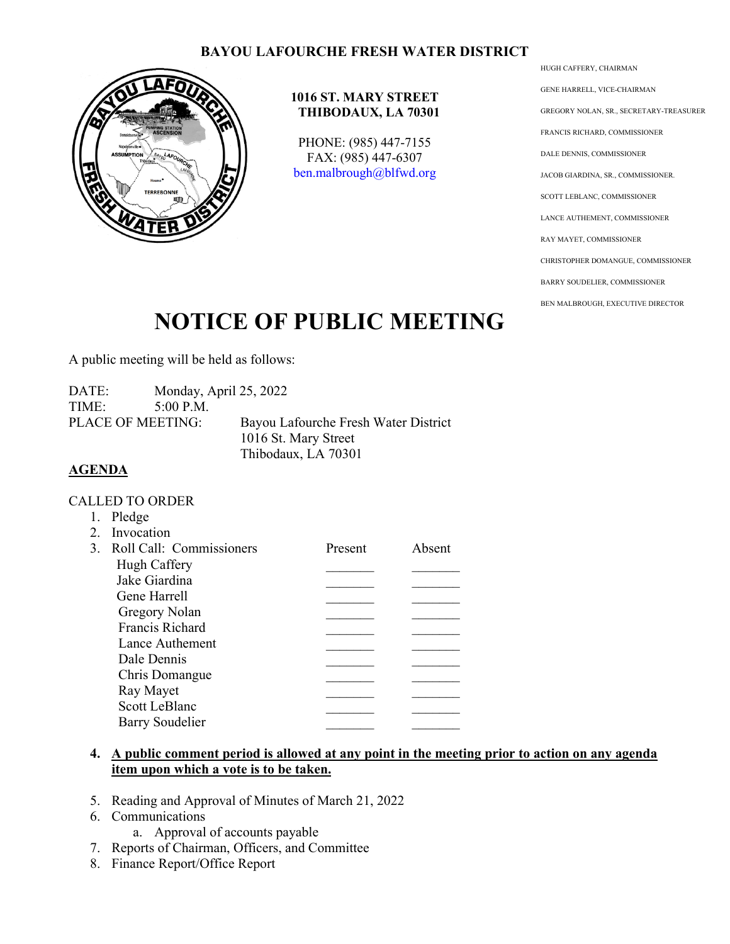## **BAYOU LAFOURCHE FRESH WATER DISTRICT**



#### **1016 ST. MARY STREET THIBODAUX, LA 70301**

PHONE: (985) 447-7155 FAX: (985) 447-6307 [ben.malbrough@blfwd.org](mailto:ben.malbrough@blfwd.org) HUGH CAFFERY, CHAIRMAN GENE HARRELL, VICE-CHAIRMAN GREGORY NOLAN, SR., SECRETARY-TREASURER FRANCIS RICHARD, COMMISSIONER DALE DENNIS, COMMISSIONER JACOB GIARDINA, SR., COMMISSIONER. SCOTT LEBLANC, COMMISSIONER LANCE AUTHEMENT, COMMISSIONER RAY MAYET, COMMISSIONER CHRISTOPHER DOMANGUE, COMMISSIONER BARRY SOUDELIER, COMMISSIONER BEN MALBROUGH, EXECUTIVE DIRECTOR

# **NOTICE OF PUBLIC MEETING**

A public meeting will be held as follows:

DATE: Monday, April 25, 2022 TIME: 5:00 P.M. PLACE OF MEETING: Bayou Lafourche Fresh Water District 1016 St. Mary Street Thibodaux, LA 70301

### **AGENDA**

#### CALLED TO ORDER

|  | Pledge                      |         |        |
|--|-----------------------------|---------|--------|
|  | 2. Invocation               |         |        |
|  | 3. Roll Call: Commissioners | Present | Absent |
|  | Hugh Caffery                |         |        |
|  | Jake Giardina               |         |        |
|  | Gene Harrell                |         |        |
|  | Gregory Nolan               |         |        |
|  | Francis Richard             |         |        |
|  | Lance Authement             |         |        |
|  | Dale Dennis                 |         |        |
|  | Chris Domangue              |         |        |
|  | Ray Mayet                   |         |        |
|  | <b>Scott LeBlanc</b>        |         |        |
|  | <b>Barry Soudelier</b>      |         |        |
|  |                             |         |        |

## **4. A public comment period is allowed at any point in the meeting prior to action on any agenda item upon which a vote is to be taken.**

- 5. Reading and Approval of Minutes of March 21, 2022
- 6. Communications
	- a. Approval of accounts payable
- 7. Reports of Chairman, Officers, and Committee
- 8. Finance Report/Office Report